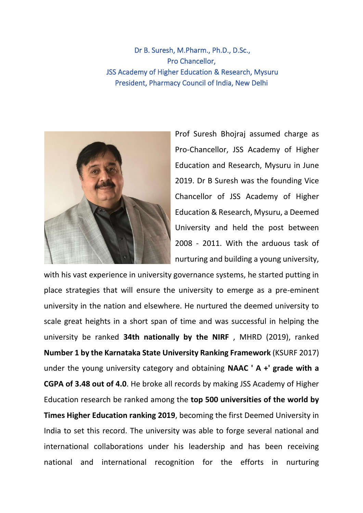Dr B. Suresh, M.Pharm., Ph.D., D.Sc., Pro Chancellor, JSS Academy of Higher Education & Research, Mysuru President, Pharmacy Council of India, New Delhi



Prof Suresh Bhojraj assumed charge as Pro-Chancellor, JSS Academy of Higher Education and Research, Mysuru in June 2019. Dr B Suresh was the founding Vice Chancellor of JSS Academy of Higher Education & Research, Mysuru, a Deemed University and held the post between 2008 - 2011. With the arduous task of nurturing and building a young university,

with his vast experience in university governance systems, he started putting in place strategies that will ensure the university to emerge as a pre-eminent university in the nation and elsewhere. He nurtured the deemed university to scale great heights in a short span of time and was successful in helping the university be ranked **34th nationally by the NIRF** , MHRD (2019), ranked **Number 1 by the Karnataka State University Ranking Framework** (KSURF 2017) under the young university category and obtaining **NAAC ' A +' grade with a CGPA of 3.48 out of 4.0**. He broke all records by making JSS Academy of Higher Education research be ranked among the **top 500 universities of the world by Times Higher Education ranking 2019**, becoming the first Deemed University in India to set this record. The university was able to forge several national and international collaborations under his leadership and has been receiving national and international recognition for the efforts in nurturing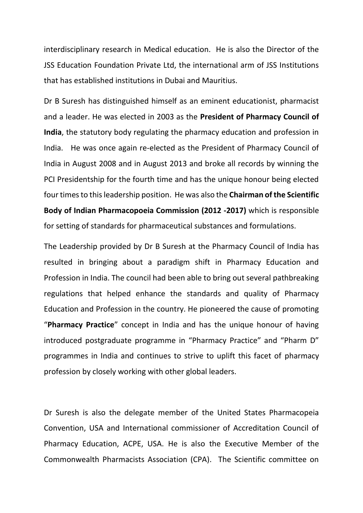interdisciplinary research in Medical education. He is also the Director of the JSS Education Foundation Private Ltd, the international arm of JSS Institutions that has established institutions in Dubai and Mauritius.

Dr B Suresh has distinguished himself as an eminent educationist, pharmacist and a leader. He was elected in 2003 as the **President of Pharmacy Council of India**, the statutory body regulating the pharmacy education and profession in India. He was once again re-elected as the President of Pharmacy Council of India in August 2008 and in August 2013 and broke all records by winning the PCI Presidentship for the fourth time and has the unique honour being elected four times to this leadership position. He was also the **Chairman of the Scientific Body of Indian Pharmacopoeia Commission (2012 -2017)** which is responsible for setting of standards for pharmaceutical substances and formulations.

The Leadership provided by Dr B Suresh at the Pharmacy Council of India has resulted in bringing about a paradigm shift in Pharmacy Education and Profession in India. The council had been able to bring out several pathbreaking regulations that helped enhance the standards and quality of Pharmacy Education and Profession in the country. He pioneered the cause of promoting "**Pharmacy Practice**" concept in India and has the unique honour of having introduced postgraduate programme in "Pharmacy Practice" and "Pharm D" programmes in India and continues to strive to uplift this facet of pharmacy profession by closely working with other global leaders.

Dr Suresh is also the delegate member of the United States Pharmacopeia Convention, USA and International commissioner of Accreditation Council of Pharmacy Education, ACPE, USA. He is also the Executive Member of the Commonwealth Pharmacists Association (CPA). The Scientific committee on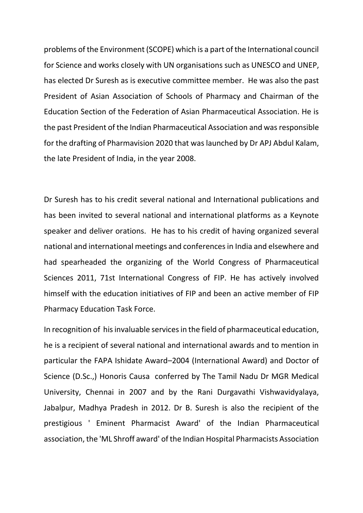problems of the Environment (SCOPE) which is a part of the International council for Science and works closely with UN organisations such as UNESCO and UNEP, has elected Dr Suresh as is executive committee member. He was also the past President of Asian Association of Schools of Pharmacy and Chairman of the Education Section of the Federation of Asian Pharmaceutical Association. He is the past President of the Indian Pharmaceutical Association and was responsible for the drafting of Pharmavision 2020 that was launched by Dr APJ Abdul Kalam, the late President of India, in the year 2008.

Dr Suresh has to his credit several national and International publications and has been invited to several national and international platforms as a Keynote speaker and deliver orations. He has to his credit of having organized several national and international meetings and conferences in India and elsewhere and had spearheaded the organizing of the World Congress of Pharmaceutical Sciences 2011, 71st International Congress of FIP. He has actively involved himself with the education initiatives of FIP and been an active member of FIP Pharmacy Education Task Force.

In recognition of his invaluable services in the field of pharmaceutical education, he is a recipient of several national and international awards and to mention in particular the FAPA Ishidate Award–2004 (International Award) and Doctor of Science (D.Sc.,) Honoris Causa conferred by The Tamil Nadu Dr MGR Medical University, Chennai in 2007 and by the Rani Durgavathi Vishwavidyalaya, Jabalpur, Madhya Pradesh in 2012. Dr B. Suresh is also the recipient of the prestigious ' Eminent Pharmacist Award' of the Indian Pharmaceutical association, the 'ML Shroff award' of the Indian Hospital Pharmacists Association